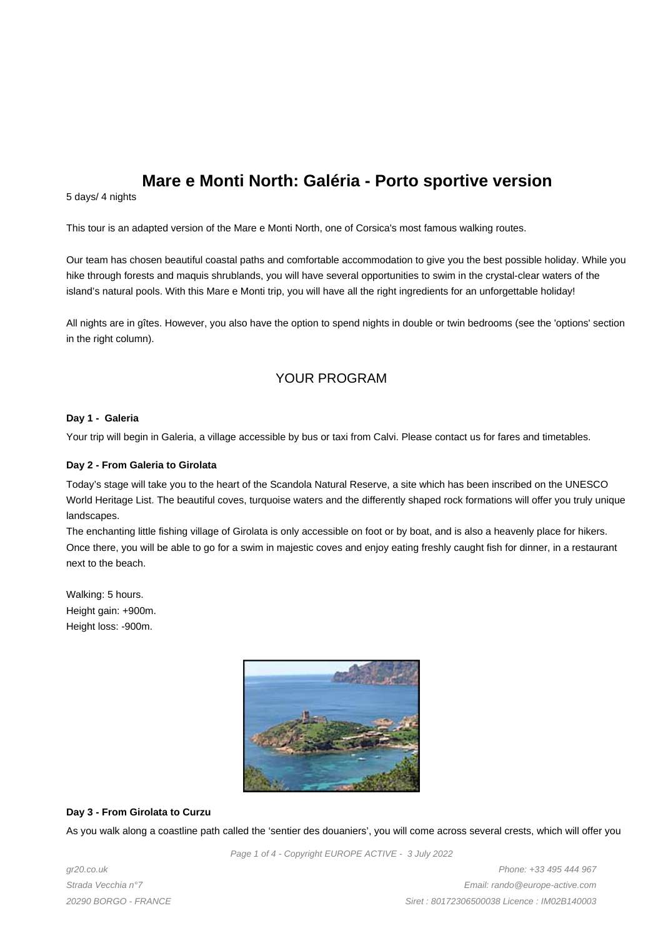# **Mare e Monti North: Galéria - Porto sportive version**

5 days/ 4 nights

This tour is an adapted version of the Mare e Monti North, one of Corsica's most famous walking routes.

Our team has chosen beautiful coastal paths and comfortable accommodation to give you the best possible holiday. While you hike through forests and maquis shrublands, you will have several opportunities to swim in the crystal-clear waters of the island's natural pools. With this Mare e Monti trip, you will have all the right ingredients for an unforgettable holiday!

All nights are in gîtes. However, you also have the option to spend nights in double or twin bedrooms (see the 'options' section in the right column).

# YOUR PROGRAM

#### **Day 1 - Galeria**

Your trip will begin in Galeria, a village accessible by bus or taxi from Calvi. Please contact us for fares and timetables.

#### **Day 2 - From Galeria to Girolata**

Today's stage will take you to the heart of the Scandola Natural Reserve, a site which has been inscribed on the UNESCO World Heritage List. The beautiful coves, turquoise waters and the differently shaped rock formations will offer you truly unique landscapes.

The enchanting little fishing village of Girolata is only accessible on foot or by boat, and is also a heavenly place for hikers. Once there, you will be able to go for a swim in majestic coves and enjoy eating freshly caught fish for dinner, in a restaurant next to the beach.

Walking: 5 hours. Height gain: +900m. Height loss: -900m.



#### **Day 3 - From Girolata to Curzu**

As you walk along a coastline path called the 'sentier des douaniers', you will come across several crests, which will offer you

Page 1 of 4 - Copyright EUROPE ACTIVE - 3 July 2022

gr20.co.uk Strada Vecchia n°7 20290 BORGO - FRANCE

Phone: +33 495 444 967 Email: rando@europe-active.com Siret : 80172306500038 Licence : IM02B140003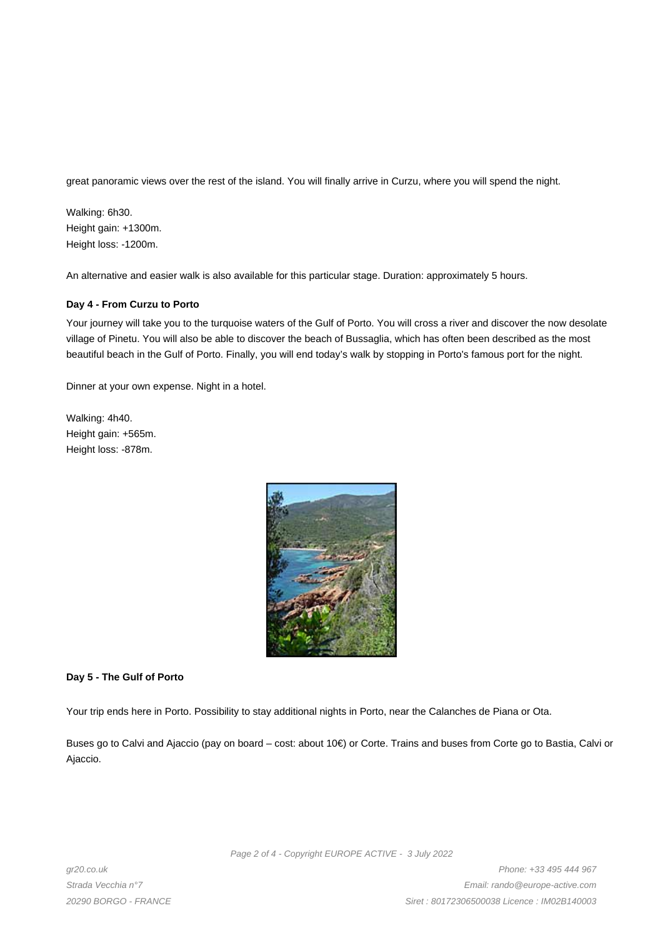great panoramic views over the rest of the island. You will finally arrive in Curzu, where you will spend the night.

Walking: 6h30. Height gain: +1300m. Height loss: -1200m.

An alternative and easier walk is also available for this particular stage. Duration: approximately 5 hours.

#### **Day 4 - From Curzu to Porto**

Your journey will take you to the turquoise waters of the Gulf of Porto. You will cross a river and discover the now desolate village of Pinetu. You will also be able to discover the beach of Bussaglia, which has often been described as the most beautiful beach in the Gulf of Porto. Finally, you will end today's walk by stopping in Porto's famous port for the night.

Dinner at your own expense. Night in a hotel.

Walking: 4h40. Height gain: +565m. Height loss: -878m.



#### **Day 5 - The Gulf of Porto**

Your trip ends here in Porto. Possibility to stay additional nights in Porto, near the Calanches de Piana or Ota.

Buses go to Calvi and Ajaccio (pay on board – cost: about 10€) or Corte. Trains and buses from Corte go to Bastia, Calvi or Ajaccio.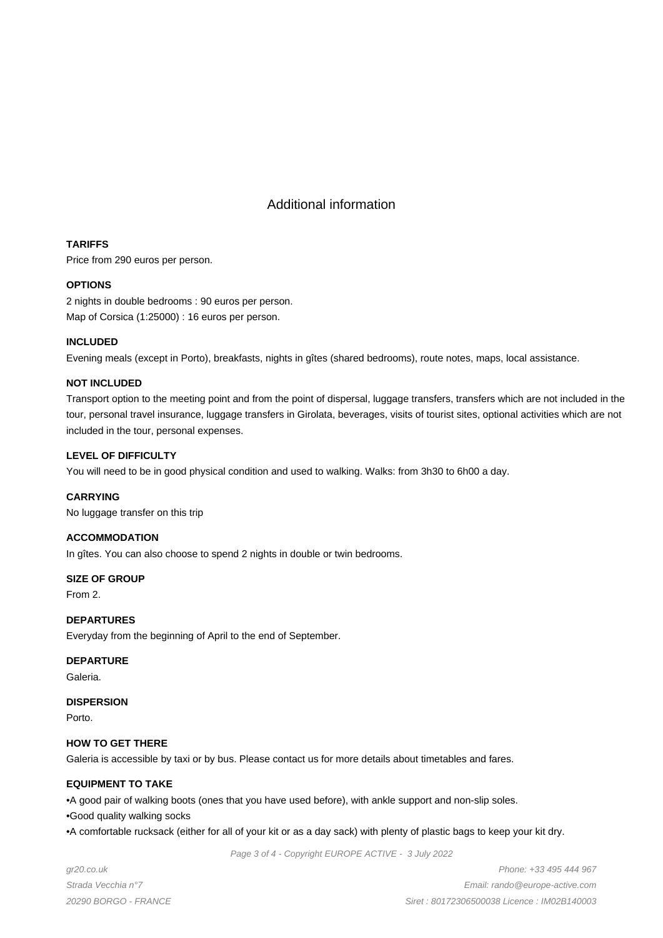# Additional information

## **TARIFFS**

Price from 290 euros per person.

## **OPTIONS**

2 nights in double bedrooms : 90 euros per person. Map of Corsica (1:25000) : 16 euros per person.

#### **INCLUDED**

Evening meals (except in Porto), breakfasts, nights in gîtes (shared bedrooms), route notes, maps, local assistance.

#### **NOT INCLUDED**

Transport option to the meeting point and from the point of dispersal, luggage transfers, transfers which are not included in the tour, personal travel insurance, luggage transfers in Girolata, beverages, visits of tourist sites, optional activities which are not included in the tour, personal expenses.

#### **LEVEL OF DIFFICULTY**

You will need to be in good physical condition and used to walking. Walks: from 3h30 to 6h00 a day.

#### **CARRYING**

No luggage transfer on this trip

#### **ACCOMMODATION**

In gîtes. You can also choose to spend 2 nights in double or twin bedrooms.

**SIZE OF GROUP**

From 2.

## **DEPARTURES**

Everyday from the beginning of April to the end of September.

#### **DEPARTURE**

Galeria.

#### **DISPERSION**

Porto.

## **HOW TO GET THERE**

Galeria is accessible by taxi or by bus. Please contact us for more details about timetables and fares.

## **EQUIPMENT TO TAKE**

• A good pair of walking boots (ones that you have used before), with ankle support and non-slip soles.

• Good quality walking socks

• A comfortable rucksack (either for all of your kit or as a day sack) with plenty of plastic bags to keep your kit dry.

Page 3 of 4 - Copyright EUROPE ACTIVE - 3 July 2022

gr20.co.uk Strada Vecchia n°7 20290 BORGO - FRANCE

Phone: +33 495 444 967 Email: rando@europe-active.com Siret : 80172306500038 Licence : IM02B140003